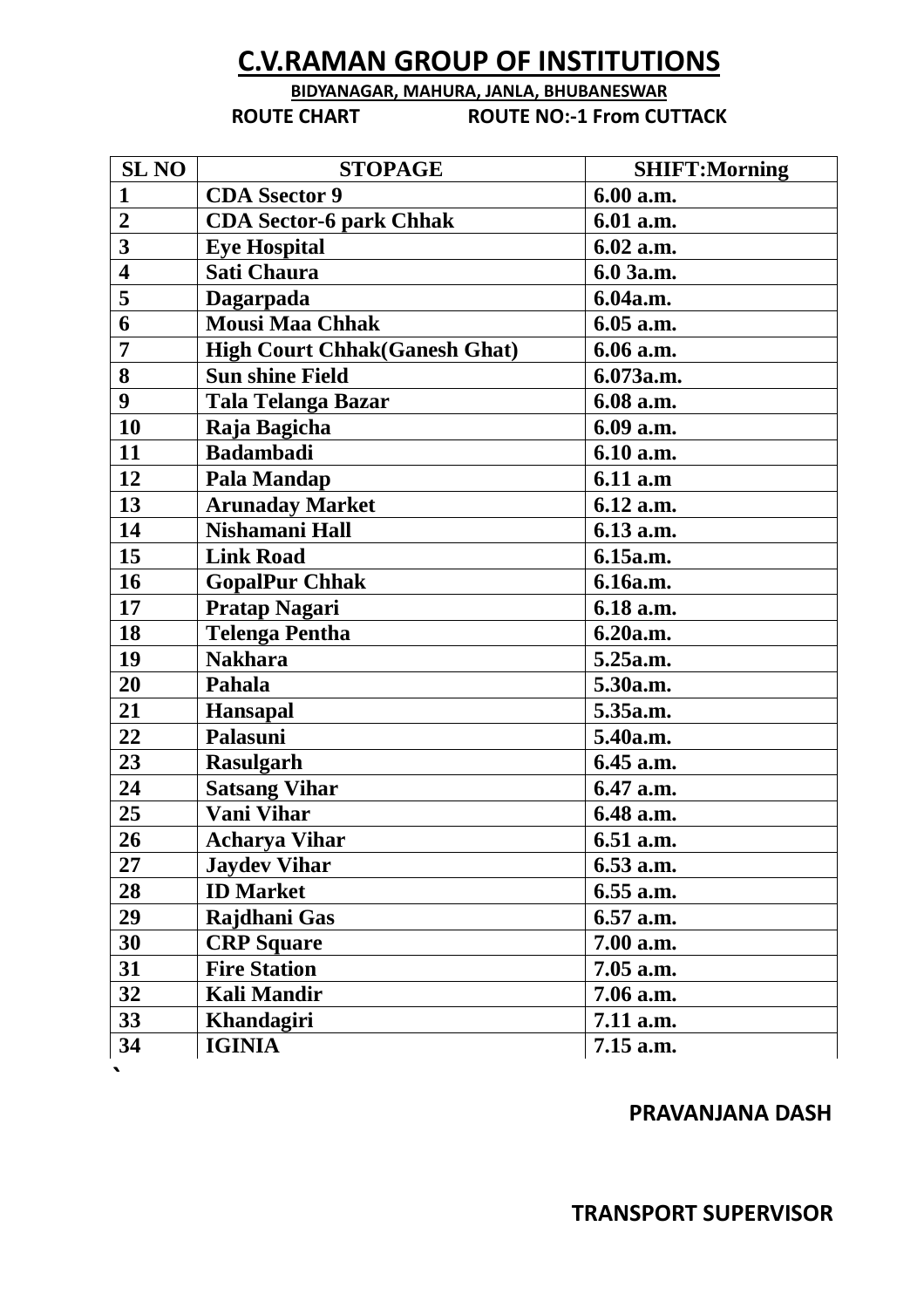# **C.V.RAMAN GROUP OF INSTITUTIONS**

### **BIDYANAGAR, MAHURA, JANLA, BHUBANESWAR ROUTE CHART ROUTE NO:-1 From CUTTACK**

| <b>SL NO</b>            | <b>STOPAGE</b>                       | <b>SHIFT:Morning</b> |
|-------------------------|--------------------------------------|----------------------|
| $\mathbf{1}$            | <b>CDA</b> Ssector 9                 | 6.00 a.m.            |
| $\overline{2}$          | <b>CDA Sector-6 park Chhak</b>       | 6.01 a.m.            |
| $\overline{\mathbf{3}}$ | <b>Eye Hospital</b>                  | 6.02 a.m.            |
| $\overline{\mathbf{4}}$ | <b>Sati Chaura</b>                   | 6.0 3a.m.            |
| 5                       | Dagarpada                            | 6.04a.m.             |
| 6                       | <b>Mousi Maa Chhak</b>               | 6.05 a.m.            |
| 7                       | <b>High Court Chhak(Ganesh Ghat)</b> | 6.06 a.m.            |
| 8                       | <b>Sun shine Field</b>               | 6.073a.m.            |
| 9                       | <b>Tala Telanga Bazar</b>            | 6.08 a.m.            |
| 10                      | Raja Bagicha                         | 6.09 a.m.            |
| 11                      | <b>Badambadi</b>                     | 6.10 a.m.            |
| 12                      | Pala Mandap                          | 6.11 a.m             |
| 13                      | <b>Arunaday Market</b>               | 6.12 a.m.            |
| 14                      | Nishamani Hall                       | 6.13 a.m.            |
| 15                      | <b>Link Road</b>                     | 6.15a.m.             |
| 16                      | <b>GopalPur Chhak</b>                | 6.16a.m.             |
| 17                      | Pratap Nagari                        | 6.18 a.m.            |
| 18                      | <b>Telenga Pentha</b>                | 6.20a.m.             |
| 19                      | <b>Nakhara</b>                       | 5.25a.m.             |
| 20                      | Pahala                               | 5.30a.m.             |
| 21                      | <b>Hansapal</b>                      | 5.35a.m.             |
| 22                      | Palasuni                             | 5.40a.m.             |
| 23                      | <b>Rasulgarh</b>                     | 6.45 a.m.            |
| 24                      | <b>Satsang Vihar</b>                 | 6.47 a.m.            |
| 25                      | <b>Vani Vihar</b>                    | 6.48 a.m.            |
| 26                      | <b>Acharya Vihar</b>                 | 6.51 a.m.            |
| $27\,$                  | <b>Jaydev Vihar</b>                  | 6.53 a.m.            |
| 28                      | <b>ID Market</b>                     | 6.55 a.m.            |
| 29                      | Rajdhani Gas                         | 6.57 a.m.            |
| 30                      | <b>CRP</b> Square                    | 7.00 a.m.            |
| 31                      | <b>Fire Station</b>                  | 7.05 a.m.            |
| 32                      | <b>Kali Mandir</b>                   | 7.06 a.m.            |
| 33                      | <b>Khandagiri</b>                    | 7.11 a.m.            |
| 34                      | <b>IGINIA</b>                        | 7.15 a.m.            |

 $\bullet$ 

## **PRAVANJANA DASH**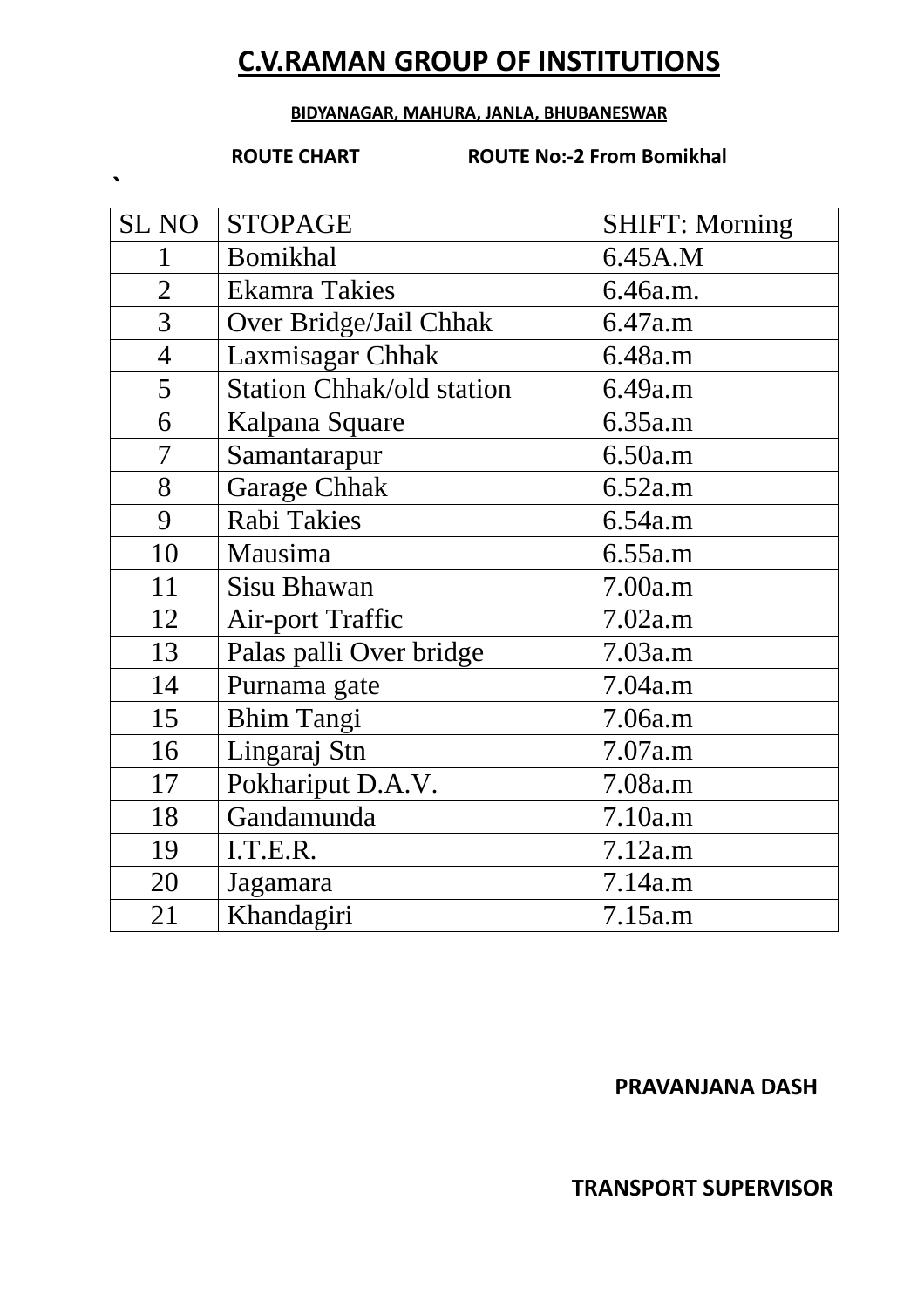# **C.V.RAMAN GROUP OF INSTITUTIONS**

#### **BIDYANAGAR, MAHURA, JANLA, BHUBANESWAR**

**`** 

**ROUTE CHART ROUTE No:-2 From Bomikhal** 

| <b>SL NO</b>   | <b>STOPAGE</b>                   | <b>SHIFT: Morning</b> |
|----------------|----------------------------------|-----------------------|
| 1              | <b>Bomikhal</b>                  | 6.45A.M               |
| $\overline{2}$ | <b>Ekamra Takies</b>             | 6.46a.m.              |
| $\overline{3}$ | Over Bridge/Jail Chhak           | 6.47a.m               |
| $\overline{4}$ | Laxmisagar Chhak                 | 6.48a.m               |
| 5              | <b>Station Chhak/old station</b> | 6.49a.m               |
| 6              | Kalpana Square                   | 6.35a.m               |
| $\overline{7}$ | Samantarapur                     | 6.50a.m               |
| 8              | <b>Garage Chhak</b>              | 6.52a.m               |
| 9              | Rabi Takies                      | 6.54a.m               |
| 10             | Mausima                          | 6.55a.m               |
| 11             | <b>Sisu Bhawan</b>               | 7.00a.m               |
| 12             | <b>Air-port Traffic</b>          | 7.02a.m               |
| 13             | Palas palli Over bridge          | 7.03a.m               |
| 14             | Purnama gate                     | 7.04a.m               |
| 15             | <b>Bhim Tangi</b>                | 7.06a.m               |
| 16             | Lingaraj Stn                     | 7.07a.m               |
| 17             | Pokhariput D.A.V.                | 7.08a.m               |
| 18             | Gandamunda                       | 7.10a.m               |
| 19             | I.T.E.R.                         | 7.12a.m               |
| 20             | Jagamara                         | 7.14a.m               |
| 21             | Khandagiri                       | 7.15a.m               |

## **PRAVANJANA DASH**